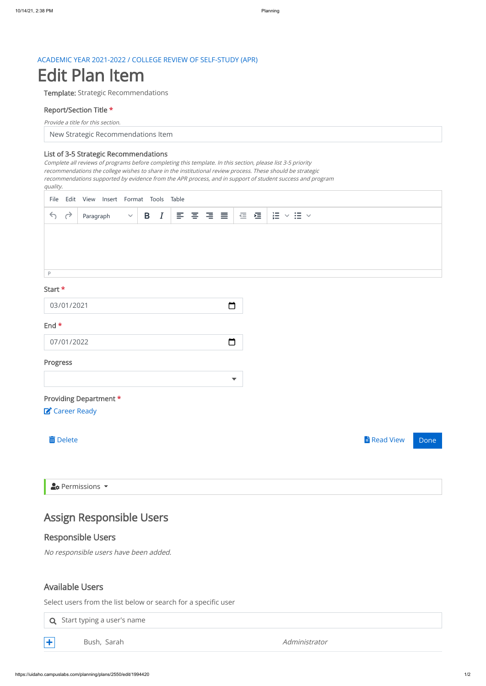### ACADEMIC YEAR 2021-2022 / COLLEGE REVIEW OF SELF-STUDY (APR)

# Edit Plan Item

Template: Strategic Recommendations

## Report/Section Title \*

New Strategic Recommendations Item

Provide a title for this section.

#### List of 3-5 Strategic Recommendations

 $\Box$ 03/01/2021 End \*

Complete all reviews of programs before completing this template. In this section, please list 3-5 priority recommendations the college wishes to share in the institutional review process. These should be strategic recommendations supported by evidence from the APR process, and in support of student success and program quality.

### Start \*

07/01/2022

| Ш | . . | . . |
|---|-----|-----|

# Progress

# Providing Department \*

Career Ready

Delete Read View Done

 $2$ **c** Permissions  $\rightarrow$ 

# Assign Responsible Users

# Responsible Users

No responsible users have been added.

|                                                                                     | File Edit View Insert Format Tools Table |           |  |  |  |  |                                                                                                                                                                                                                                                                                                                                                                                                                                  |  |                                                           |
|-------------------------------------------------------------------------------------|------------------------------------------|-----------|--|--|--|--|----------------------------------------------------------------------------------------------------------------------------------------------------------------------------------------------------------------------------------------------------------------------------------------------------------------------------------------------------------------------------------------------------------------------------------|--|-----------------------------------------------------------|
| $\begin{array}{c} \leftarrow & \rightarrow \\ \leftarrow & \rightarrow \end{array}$ |                                          | Paragraph |  |  |  |  | $\begin{array}{c} \quad \  \  \, \vee \,\, \,\, {\bf B}\  \  \, I\  \   \, \equiv\  \  \, \equiv\  \  \, \equiv\  \  \, \equiv\  \  \,  \, \equiv\  \  \, \equiv\  \  \, \equiv\  \  \, \equiv\  \  \, \equiv\  \  \, \equiv\  \  \, \equiv\  \  \, \equiv\  \  \, \equiv\  \  \, \equiv\  \  \, \equiv\  \  \, \equiv\  \  \, \equiv\  \  \, \equiv\  \  \, \equiv\  \  \, \equiv\  \  \, \equiv\  \  \, \equiv\  \  \, \equiv$ |  | $\frac{1}{2}$<br>$\mathrel{\mathop:}=$ $\mathrel{\smile}$ |
|                                                                                     |                                          |           |  |  |  |  |                                                                                                                                                                                                                                                                                                                                                                                                                                  |  |                                                           |
|                                                                                     |                                          |           |  |  |  |  |                                                                                                                                                                                                                                                                                                                                                                                                                                  |  |                                                           |
|                                                                                     |                                          |           |  |  |  |  |                                                                                                                                                                                                                                                                                                                                                                                                                                  |  |                                                           |
| D                                                                                   |                                          |           |  |  |  |  |                                                                                                                                                                                                                                                                                                                                                                                                                                  |  |                                                           |

 $\Box$ 

 $\overline{\mathbf{v}}$ 

# Available Users

Select users from the list below or search for a specific user

 $\mathsf Q$  Start typing a user's name



 $\leftarrow$  Bush, Sarah Administrator